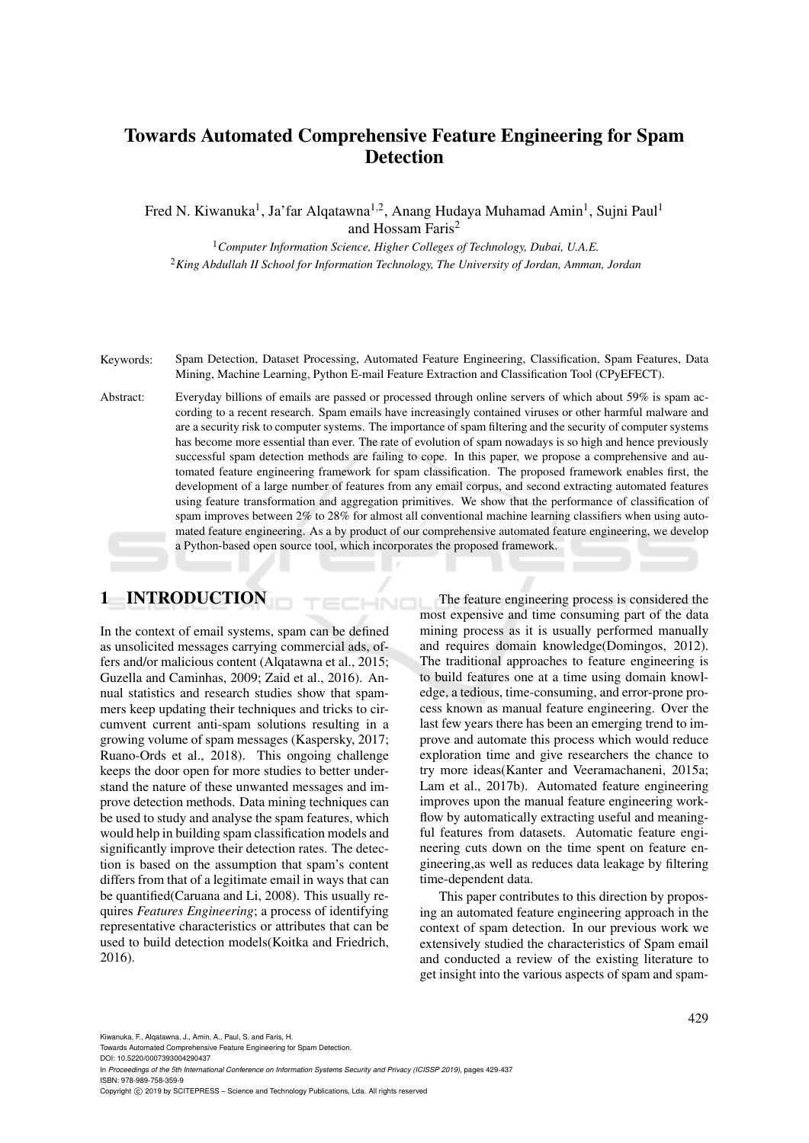# Towards Automated Comprehensive Feature Engineering for Spam **Detection**

Fred N. Kiwanuka<sup>1</sup>, Ja'far Alqatawna<sup>1,2</sup>, Anang Hudaya Muhamad Amin<sup>1</sup>, Sujni Paul<sup>1</sup> and Hossam Faris<sup>2</sup>

<sup>1</sup>*Computer Information Science, Higher Colleges of Technology, Dubai, U.A.E.* <sup>2</sup>*King Abdullah II School for Information Technology, The University of Jordan, Amman, Jordan*

Keywords: Spam Detection, Dataset Processing, Automated Feature Engineering, Classification, Spam Features, Data Mining, Machine Learning, Python E-mail Feature Extraction and Classification Tool (CPyEFECT).

Abstract: Everyday billions of emails are passed or processed through online servers of which about 59% is spam according to a recent research. Spam emails have increasingly contained viruses or other harmful malware and are a security risk to computer systems. The importance of spam filtering and the security of computer systems has become more essential than ever. The rate of evolution of spam nowadays is so high and hence previously successful spam detection methods are failing to cope. In this paper, we propose a comprehensive and automated feature engineering framework for spam classification. The proposed framework enables first, the development of a large number of features from any email corpus, and second extracting automated features using feature transformation and aggregation primitives. We show that the performance of classification of spam improves between 2% to 28% for almost all conventional machine learning classifiers when using automated feature engineering. As a by product of our comprehensive automated feature engineering, we develop a Python-based open source tool, which incorporates the proposed framework.

HNC

## 1 INTRODUCTION

In the context of email systems, spam can be defined as unsolicited messages carrying commercial ads, offers and/or malicious content (Alqatawna et al., 2015; Guzella and Caminhas, 2009; Zaid et al., 2016). Annual statistics and research studies show that spammers keep updating their techniques and tricks to circumvent current anti-spam solutions resulting in a growing volume of spam messages (Kaspersky, 2017; Ruano-Ords et al., 2018). This ongoing challenge keeps the door open for more studies to better understand the nature of these unwanted messages and improve detection methods. Data mining techniques can be used to study and analyse the spam features, which would help in building spam classification models and significantly improve their detection rates. The detection is based on the assumption that spam's content differs from that of a legitimate email in ways that can be quantified(Caruana and Li, 2008). This usually requires *Features Engineering*; a process of identifying representative characteristics or attributes that can be used to build detection models(Koitka and Friedrich, 2016).

The feature engineering process is considered the most expensive and time consuming part of the data mining process as it is usually performed manually and requires domain knowledge(Domingos, 2012). The traditional approaches to feature engineering is to build features one at a time using domain knowledge, a tedious, time-consuming, and error-prone process known as manual feature engineering. Over the last few years there has been an emerging trend to improve and automate this process which would reduce exploration time and give researchers the chance to try more ideas(Kanter and Veeramachaneni, 2015a; Lam et al., 2017b). Automated feature engineering improves upon the manual feature engineering workflow by automatically extracting useful and meaningful features from datasets. Automatic feature engineering cuts down on the time spent on feature engineering,as well as reduces data leakage by filtering time-dependent data.

This paper contributes to this direction by proposing an automated feature engineering approach in the context of spam detection. In our previous work we extensively studied the characteristics of Spam email and conducted a review of the existing literature to get insight into the various aspects of spam and spam-

Kiwanuka, F., Alqatawna, J., Amin, A., Paul, S. and Faris, H.

Towards Automated Comprehensive Feature Engineering for Spam Detection.

DOI: 10.5220/0007393004290437 In *Proceedings of the 5th International Conference on Information Systems Security and Privacy (ICISSP 2019)*, pages 429-437 ISBN: 978-989-758-359-9

Copyright © 2019 by SCITEPRESS - Science and Technology Publications, Lda. All rights reserved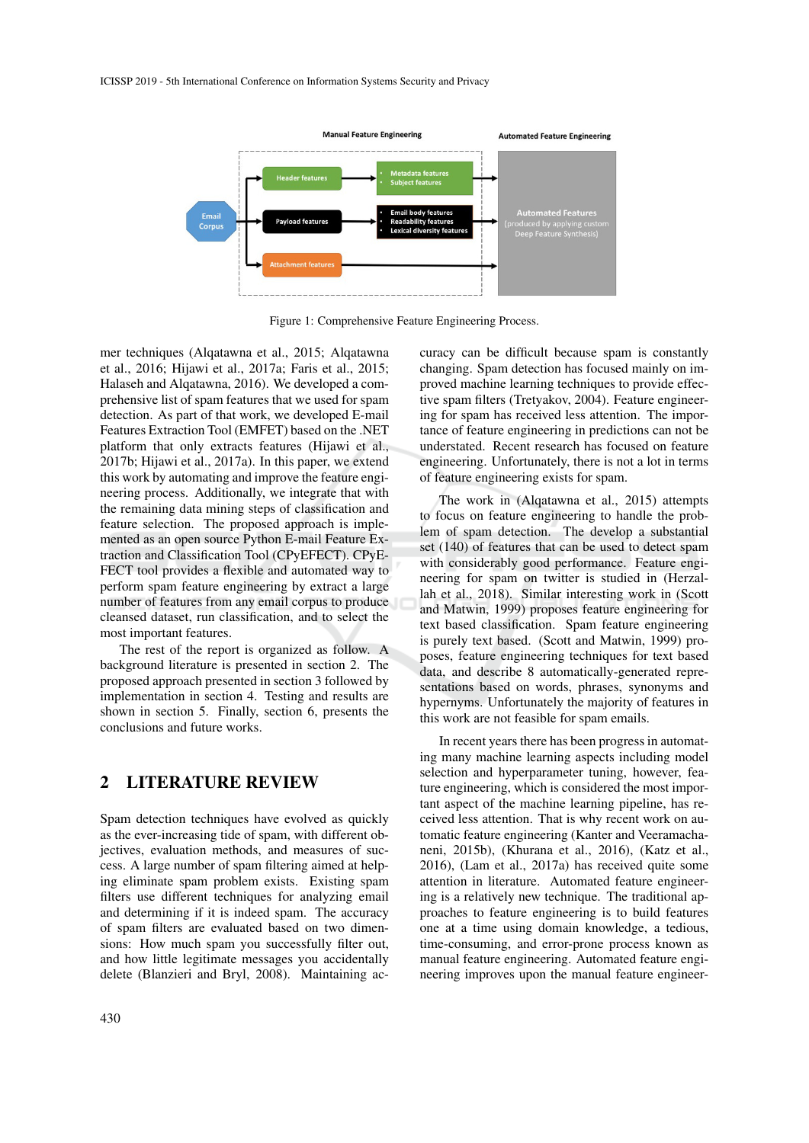

Figure 1: Comprehensive Feature Engineering Process.

mer techniques (Alqatawna et al., 2015; Alqatawna et al., 2016; Hijawi et al., 2017a; Faris et al., 2015; Halaseh and Alqatawna, 2016). We developed a comprehensive list of spam features that we used for spam detection. As part of that work, we developed E-mail Features Extraction Tool (EMFET) based on the .NET platform that only extracts features (Hijawi et al., 2017b; Hijawi et al., 2017a). In this paper, we extend this work by automating and improve the feature engineering process. Additionally, we integrate that with the remaining data mining steps of classification and feature selection. The proposed approach is implemented as an open source Python E-mail Feature Extraction and Classification Tool (CPyEFECT). CPyE-FECT tool provides a flexible and automated way to perform spam feature engineering by extract a large number of features from any email corpus to produce cleansed dataset, run classification, and to select the most important features.

The rest of the report is organized as follow. A background literature is presented in section 2. The proposed approach presented in section 3 followed by implementation in section 4. Testing and results are shown in section 5. Finally, section 6, presents the conclusions and future works.

## 2 LITERATURE REVIEW

Spam detection techniques have evolved as quickly as the ever-increasing tide of spam, with different objectives, evaluation methods, and measures of success. A large number of spam filtering aimed at helping eliminate spam problem exists. Existing spam filters use different techniques for analyzing email and determining if it is indeed spam. The accuracy of spam filters are evaluated based on two dimensions: How much spam you successfully filter out, and how little legitimate messages you accidentally delete (Blanzieri and Bryl, 2008). Maintaining accuracy can be difficult because spam is constantly changing. Spam detection has focused mainly on improved machine learning techniques to provide effective spam filters (Tretyakov, 2004). Feature engineering for spam has received less attention. The importance of feature engineering in predictions can not be understated. Recent research has focused on feature engineering. Unfortunately, there is not a lot in terms of feature engineering exists for spam.

The work in (Alqatawna et al., 2015) attempts to focus on feature engineering to handle the problem of spam detection. The develop a substantial set (140) of features that can be used to detect spam with considerably good performance. Feature engineering for spam on twitter is studied in (Herzallah et al., 2018). Similar interesting work in (Scott and Matwin, 1999) proposes feature engineering for text based classification. Spam feature engineering is purely text based. (Scott and Matwin, 1999) proposes, feature engineering techniques for text based data, and describe 8 automatically-generated representations based on words, phrases, synonyms and hypernyms. Unfortunately the majority of features in this work are not feasible for spam emails.

In recent years there has been progress in automating many machine learning aspects including model selection and hyperparameter tuning, however, feature engineering, which is considered the most important aspect of the machine learning pipeline, has received less attention. That is why recent work on automatic feature engineering (Kanter and Veeramachaneni, 2015b), (Khurana et al., 2016), (Katz et al., 2016), (Lam et al., 2017a) has received quite some attention in literature. Automated feature engineering is a relatively new technique. The traditional approaches to feature engineering is to build features one at a time using domain knowledge, a tedious, time-consuming, and error-prone process known as manual feature engineering. Automated feature engineering improves upon the manual feature engineer-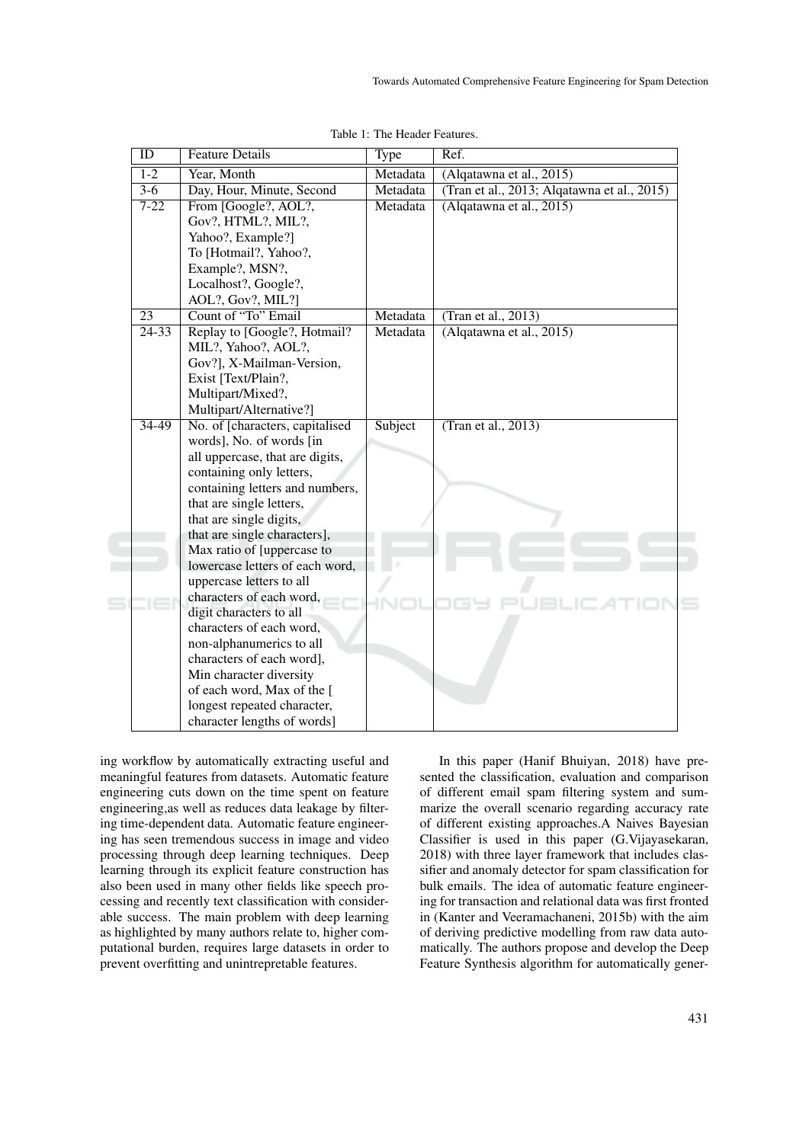| $\overline{ID}$      | <b>Feature Details</b>                                        | Type     | Ref.                                        |
|----------------------|---------------------------------------------------------------|----------|---------------------------------------------|
| $1 - 2$              | Year, Month                                                   | Metadata | (Alqatawna et al., 2015)                    |
| $3-6$                | Day, Hour, Minute, Second                                     | Metadata | (Tran et al., 2013; Alqatawna et al., 2015) |
| $7 - 22$             | From [Google?, AOL?,                                          | Metadata | (Alqatawna et al., 2015)                    |
|                      | Gov?, HTML?, MIL?,                                            |          |                                             |
|                      | Yahoo?, Example?]                                             |          |                                             |
|                      | To [Hotmail?, Yahoo?,                                         |          |                                             |
|                      | Example?, MSN?,                                               |          |                                             |
|                      | Localhost?, Google?,                                          |          |                                             |
|                      | AOL?, Gov?, MIL?]                                             |          |                                             |
| $\overline{23}$      | Count of "To" Email                                           | Metadata | (Tran et al., 2013)                         |
| $\overline{24 - 33}$ | Replay to [Google?, Hotmail?                                  | Metadata | (Alqatawna et al., 2015)                    |
|                      | MIL?, Yahoo?, AOL?,                                           |          |                                             |
|                      | Gov?], X-Mailman-Version,                                     |          |                                             |
|                      | Exist [Text/Plain?,                                           |          |                                             |
|                      | Multipart/Mixed?,                                             |          |                                             |
|                      | Multipart/Alternative?]                                       |          |                                             |
| $34 - 49$            | No. of [characters, capitalised]                              | Subject  | (Tran et al., 2013)                         |
|                      | words], No. of words [in                                      |          |                                             |
|                      | all uppercase, that are digits,                               |          |                                             |
|                      | containing only letters,                                      |          |                                             |
|                      | containing letters and numbers,                               |          |                                             |
|                      | that are single letters,                                      |          |                                             |
|                      | that are single digits,                                       |          |                                             |
|                      | that are single characters],                                  |          |                                             |
|                      | Max ratio of [uppercase to<br>lowercase letters of each word, |          |                                             |
|                      | uppercase letters to all                                      |          |                                             |
|                      | characters of each word,                                      |          |                                             |
|                      | digit characters to all                                       |          |                                             |
|                      | characters of each word,                                      |          |                                             |
|                      | non-alphanumerics to all                                      |          |                                             |
|                      | characters of each word],                                     |          |                                             |
|                      | Min character diversity                                       |          |                                             |
|                      | of each word, Max of the [                                    |          |                                             |
|                      | longest repeated character,                                   |          |                                             |
|                      | character lengths of words]                                   |          |                                             |

Table 1: The Header Features.

ing workflow by automatically extracting useful and meaningful features from datasets. Automatic feature engineering cuts down on the time spent on feature engineering,as well as reduces data leakage by filtering time-dependent data. Automatic feature engineering has seen tremendous success in image and video processing through deep learning techniques. Deep learning through its explicit feature construction has also been used in many other fields like speech processing and recently text classification with considerable success. The main problem with deep learning as highlighted by many authors relate to, higher computational burden, requires large datasets in order to prevent overfitting and unintrepretable features.

In this paper (Hanif Bhuiyan, 2018) have presented the classification, evaluation and comparison of different email spam filtering system and summarize the overall scenario regarding accuracy rate of different existing approaches.A Naives Bayesian Classifier is used in this paper (G.Vijayasekaran, 2018) with three layer framework that includes classifier and anomaly detector for spam classification for bulk emails. The idea of automatic feature engineering for transaction and relational data was first fronted in (Kanter and Veeramachaneni, 2015b) with the aim of deriving predictive modelling from raw data automatically. The authors propose and develop the Deep Feature Synthesis algorithm for automatically gener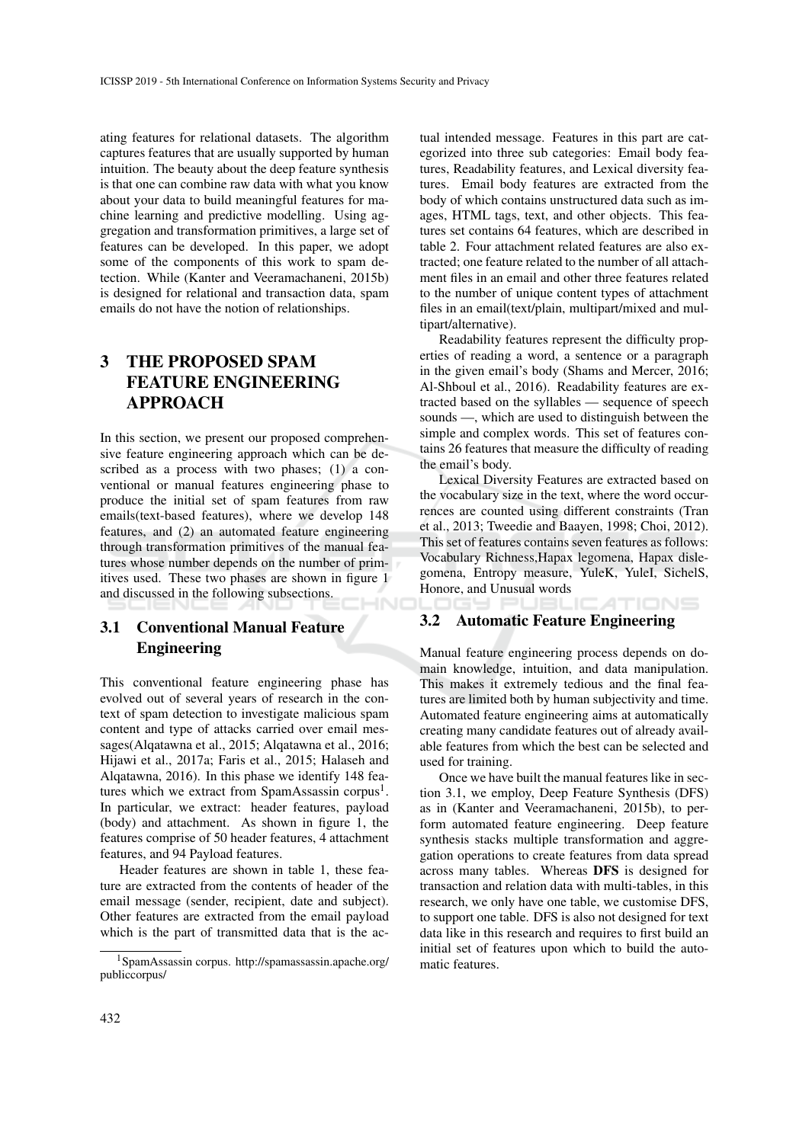ating features for relational datasets. The algorithm captures features that are usually supported by human intuition. The beauty about the deep feature synthesis is that one can combine raw data with what you know about your data to build meaningful features for machine learning and predictive modelling. Using aggregation and transformation primitives, a large set of features can be developed. In this paper, we adopt some of the components of this work to spam detection. While (Kanter and Veeramachaneni, 2015b) is designed for relational and transaction data, spam emails do not have the notion of relationships.

## 3 THE PROPOSED SPAM FEATURE ENGINEERING APPROACH

In this section, we present our proposed comprehensive feature engineering approach which can be described as a process with two phases; (1) a conventional or manual features engineering phase to produce the initial set of spam features from raw emails(text-based features), where we develop 148 features, and (2) an automated feature engineering through transformation primitives of the manual features whose number depends on the number of primitives used. These two phases are shown in figure 1 and discussed in the following subsections.

## 3.1 Conventional Manual Feature Engineering

This conventional feature engineering phase has evolved out of several years of research in the context of spam detection to investigate malicious spam content and type of attacks carried over email messages(Alqatawna et al., 2015; Alqatawna et al., 2016; Hijawi et al., 2017a; Faris et al., 2015; Halaseh and Alqatawna, 2016). In this phase we identify 148 features which we extract from SpamAssassin corpus<sup>1</sup>. In particular, we extract: header features, payload (body) and attachment. As shown in figure 1, the features comprise of 50 header features, 4 attachment features, and 94 Payload features.

Header features are shown in table 1, these feature are extracted from the contents of header of the email message (sender, recipient, date and subject). Other features are extracted from the email payload which is the part of transmitted data that is the ac-

tual intended message. Features in this part are categorized into three sub categories: Email body features, Readability features, and Lexical diversity features. Email body features are extracted from the body of which contains unstructured data such as images, HTML tags, text, and other objects. This features set contains 64 features, which are described in table 2. Four attachment related features are also extracted; one feature related to the number of all attachment files in an email and other three features related to the number of unique content types of attachment files in an email(text/plain, multipart/mixed and multipart/alternative).

Readability features represent the difficulty properties of reading a word, a sentence or a paragraph in the given email's body (Shams and Mercer, 2016; Al-Shboul et al., 2016). Readability features are extracted based on the syllables — sequence of speech sounds —, which are used to distinguish between the simple and complex words. This set of features contains 26 features that measure the difficulty of reading the email's body.

Lexical Diversity Features are extracted based on the vocabulary size in the text, where the word occurrences are counted using different constraints (Tran et al., 2013; Tweedie and Baayen, 1998; Choi, 2012). This set of features contains seven features as follows: Vocabulary Richness,Hapax legomena, Hapax dislegomena, Entropy measure, YuleK, YuleI, SichelS, Honore, and Unusual words

#### 3.2 Automatic Feature Engineering

Manual feature engineering process depends on domain knowledge, intuition, and data manipulation. This makes it extremely tedious and the final features are limited both by human subjectivity and time. Automated feature engineering aims at automatically creating many candidate features out of already available features from which the best can be selected and used for training.

Once we have built the manual features like in section 3.1, we employ, Deep Feature Synthesis (DFS) as in (Kanter and Veeramachaneni, 2015b), to perform automated feature engineering. Deep feature synthesis stacks multiple transformation and aggregation operations to create features from data spread across many tables. Whereas DFS is designed for transaction and relation data with multi-tables, in this research, we only have one table, we customise DFS, to support one table. DFS is also not designed for text data like in this research and requires to first build an initial set of features upon which to build the automatic features.

<sup>1</sup>SpamAssassin corpus. http://spamassassin.apache.org/ publiccorpus/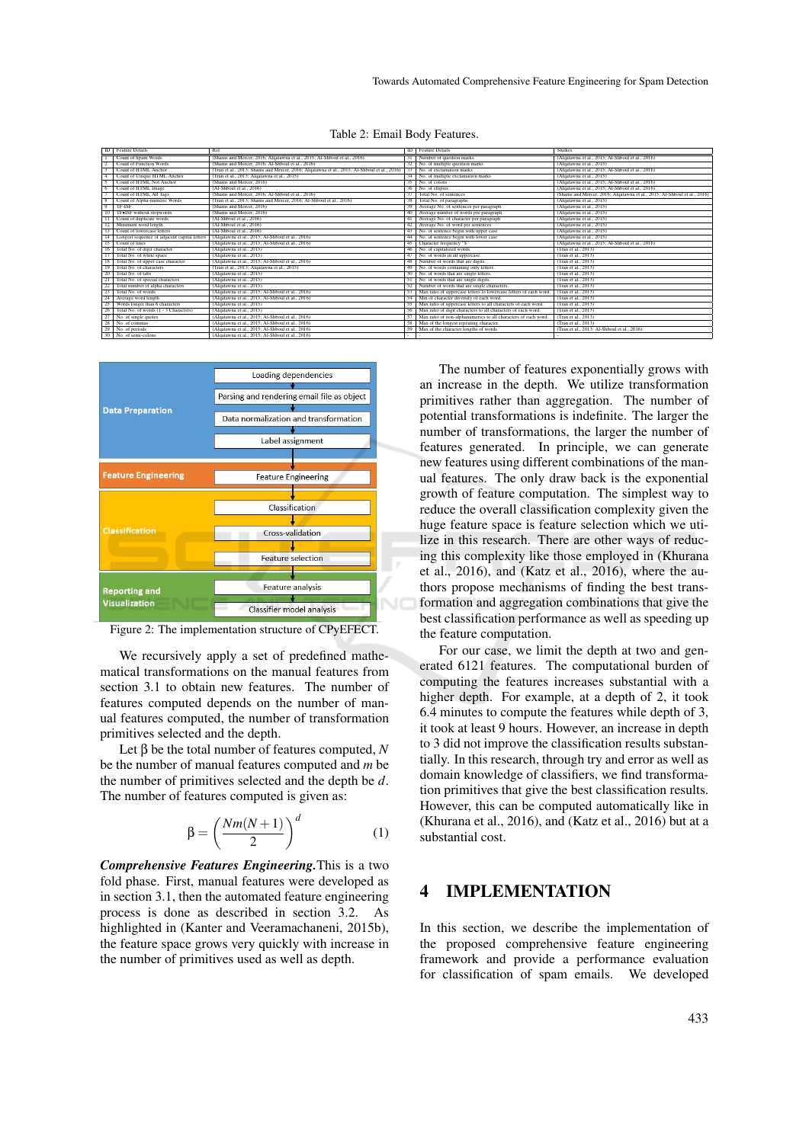Table 2: Email Body Features.

| <b>ID</b> Feature Details                     | Ref.                                                                                                                    |        | <b>ID</b> Feature Details                                         | <b>Studies</b>                                                           |
|-----------------------------------------------|-------------------------------------------------------------------------------------------------------------------------|--------|-------------------------------------------------------------------|--------------------------------------------------------------------------|
| Count of Spam Words                           | (Shams and Mercer, 2016; Alqatawna et al., 2015; Al-Shboul et al., 2016)                                                |        | 31 Number of question marks                                       | (Alqatawna et al., 2015; Al-Shboul et al., 2016)                         |
| <b>Count of Function Words</b>                | (Shams and Mercer, 2016; Al-Shboul et al., 2016)                                                                        |        | 32 No. of multiple question marks                                 | (Algatawna et al., 2015)                                                 |
| Count of HTML Anchor<br>-3                    | (Tran et al., 2013; Shams and Mercer, 2016; Alqatawna et al., 2015; Al-Shboul et al., 2016) 33 No. of exclamation marks |        |                                                                   | (Algatawna et al., 2015; Al-Shboul et al., 2016)                         |
| Count of Unique HTML Anchor<br>$\overline{4}$ | (Tran et al., 2013; Alqatawna et al., 2015)                                                                             |        | 34 No. of multiple exclamation marks                              | (Algatawna et al., 2015)                                                 |
| Count of HTML Not Anchor                      | (Shams and Mercer, 2016)                                                                                                |        | 35 No. of colons                                                  | (Alqatawna et al., 2015; Al-Shboul et al., 2016)                         |
| Count of HTML Image<br>6                      | (Al-Shboul et al., 2016)                                                                                                | 36.    | No. of ellipsis                                                   | (Alqatawna et al., 2015; Al-Shboul et al., 2016)                         |
| Count of HTML All Tags                        | (Shams and Mercer, 2016; Al-Shboul et al., 2016).                                                                       |        | Total No. of sentences                                            | (Shams and Mercer, 2016; Alqatawna et al., 2015; Al-Shboul et al., 2016) |
| Count of Alpha-numeric Words                  | (Tran et al., 2013; Shams and Mercer, 2016; Al-Shboul et al., 2016)                                                     | 38     | Total No. of paragraphs                                           | (Algatawna et al., 2015)                                                 |
| $\overline{Q}$<br><b>TF-ISF</b>               | (Shams and Mercer, 2016)                                                                                                | 39     | Average No. of sentences per paragraph                            | (Algatawna et al., 2015)                                                 |
| TF.ISF without stopwords                      | (Shams and Mercer, 2016)                                                                                                | 40     | Average number of words pre paragraph                             | (Algatawna et al., 2015)                                                 |
| Count of duplicate words.                     | (Al-Shboul et al., 2016)                                                                                                |        | Average No. of character per paragraph                            | (Alqatawna et al., 2015)                                                 |
| Minimum word length                           | (Al-Shboul et al., 2016)                                                                                                |        | Average No. of word per sentences                                 | (Alqatawna et al., 2015)                                                 |
| Count of lowercase letters<br>13              | (Al-Shboul et al., 2016)                                                                                                | 43     | No. of sentence begin with upper case                             | (Alqatawna et al., 2015)                                                 |
| Longest sequence of adjacent capital letters  | (Algatawna et al., 2015; Al-Shboul et al., 2016)                                                                        |        | No. of sentence begin with lower case                             | (Algatawna et al., 2015)                                                 |
| Count of lines<br>15                          | (Alqatawna et al., 2015; Al-Shboul et al., 2016)                                                                        | 45.    | Character frequency "\$"                                          | (Algatawna et al., 2015; Al-Shboul et al., 2016)                         |
| Total No. of digit character<br>-16           | (Algatawna et al., 2015)                                                                                                | 46     | No. of capitalized words.                                         | (Tran et al., 2013)                                                      |
| Total No. of white space                      | (Algatawna et al., 2015)                                                                                                |        | No. of words in all uppercase.                                    | (Tran et al., 2013)                                                      |
| Total No. of upper case character             | (Algatawna et al., 2015; Al-Shboul et al., 2016)                                                                        |        | Number of words that are digits.                                  | (Tran et al., 2013)                                                      |
| Total No. of characters<br>19                 | (Tran et al., 2013; Algatawna et al., 2015)                                                                             | 49     | No. of words containing only letters.                             | (Tran et al., 2013)                                                      |
| Total No. of tabs<br>20                       | (Algatawna et al., 2015)                                                                                                | $50 -$ | No. of words that are single letters.                             | (Tran et al., 2013)                                                      |
| Total No. of special characters               | (Algatawna et al., 2015)                                                                                                | -51    | No. of words that are single digits.                              | (Tran et al., 2013)                                                      |
| 22<br>Total number of alpha characters        | (Algatawna et al., 2015)                                                                                                | 52     | Number of words that are single characters.                       | (Tran et al., 2013)                                                      |
| 23<br>Total No. of words                      | (Alqatawna et al., 2015; Al-Shboul et al., 2016)                                                                        | 53     | Max ratio of uppercase letters to lowercase letters of each word. | (Tran et al., 2013)                                                      |
| 24<br>Average word length                     | (Alqatawna et al., 2015; Al-Shboul et al., 2016)                                                                        |        | Min of character diversity of each word.                          | (Tran et al., 2013)                                                      |
| 25<br>Words longer than 6 characters          | (Alqatawna et al., 2015)                                                                                                | 55     | Max ratio of uppercase letters to all characters of each word.    | (Tran et al., 2013)                                                      |
| 26<br>Total No. of words (1 - 3 Characters)   | (Algatawna et al., 2015)                                                                                                | 56     | Max ratio of digit characters to all characters of each word.     | (Tran et al., 2013)                                                      |
| 27<br>No. of single quotes                    | (Algatawna et al., 2015; Al-Shboul et al., 2016)                                                                        |        | Max ratio of non-alphanumerics to all characters of each word.    | (Tran et al., 2013)                                                      |
| 28<br>No. of commas                           | (Algatawna et al., 2015; Al-Shboul et al., 2016)                                                                        |        | Max of the longest repeating character.                           | (Tran et al., 2013)                                                      |
| 29 No. of periods                             | (Algatawna et al., 2015; Al-Shboul et al., 2016)                                                                        | 59     | Max of the character lengths of words.                            | (Tran et al., 2013; Al-Shboul et al., 2016)                              |
| No. of semi-colons<br>30 <sup>1</sup>         | (Algatawna et al., 2015; Al-Shboul et al., 2016)                                                                        |        |                                                                   |                                                                          |



Figure 2: The implementation structure of CPyEFECT.

We recursively apply a set of predefined mathematical transformations on the manual features from section 3.1 to obtain new features. The number of features computed depends on the number of manual features computed, the number of transformation primitives selected and the depth.

Let β be the total number of features computed, *N* be the number of manual features computed and *m* be the number of primitives selected and the depth be *d*. The number of features computed is given as:

$$
\beta = \left(\frac{Nm(N+1)}{2}\right)^d\tag{1}
$$

*Comprehensive Features Engineering.*This is a two fold phase. First, manual features were developed as in section 3.1, then the automated feature engineering process is done as described in section 3.2. As highlighted in (Kanter and Veeramachaneni, 2015b), the feature space grows very quickly with increase in the number of primitives used as well as depth.

The number of features exponentially grows with an increase in the depth. We utilize transformation primitives rather than aggregation. The number of potential transformations is indefinite. The larger the number of transformations, the larger the number of features generated. In principle, we can generate new features using different combinations of the manual features. The only draw back is the exponential growth of feature computation. The simplest way to reduce the overall classification complexity given the huge feature space is feature selection which we utilize in this research. There are other ways of reducing this complexity like those employed in (Khurana et al., 2016), and (Katz et al., 2016), where the authors propose mechanisms of finding the best transformation and aggregation combinations that give the best classification performance as well as speeding up the feature computation.

For our case, we limit the depth at two and generated 6121 features. The computational burden of computing the features increases substantial with a higher depth. For example, at a depth of 2, it took 6.4 minutes to compute the features while depth of 3, it took at least 9 hours. However, an increase in depth to 3 did not improve the classification results substantially. In this research, through try and error as well as domain knowledge of classifiers, we find transformation primitives that give the best classification results. However, this can be computed automatically like in (Khurana et al., 2016), and (Katz et al., 2016) but at a substantial cost.

## 4 IMPLEMENTATION

In this section, we describe the implementation of the proposed comprehensive feature engineering framework and provide a performance evaluation for classification of spam emails. We developed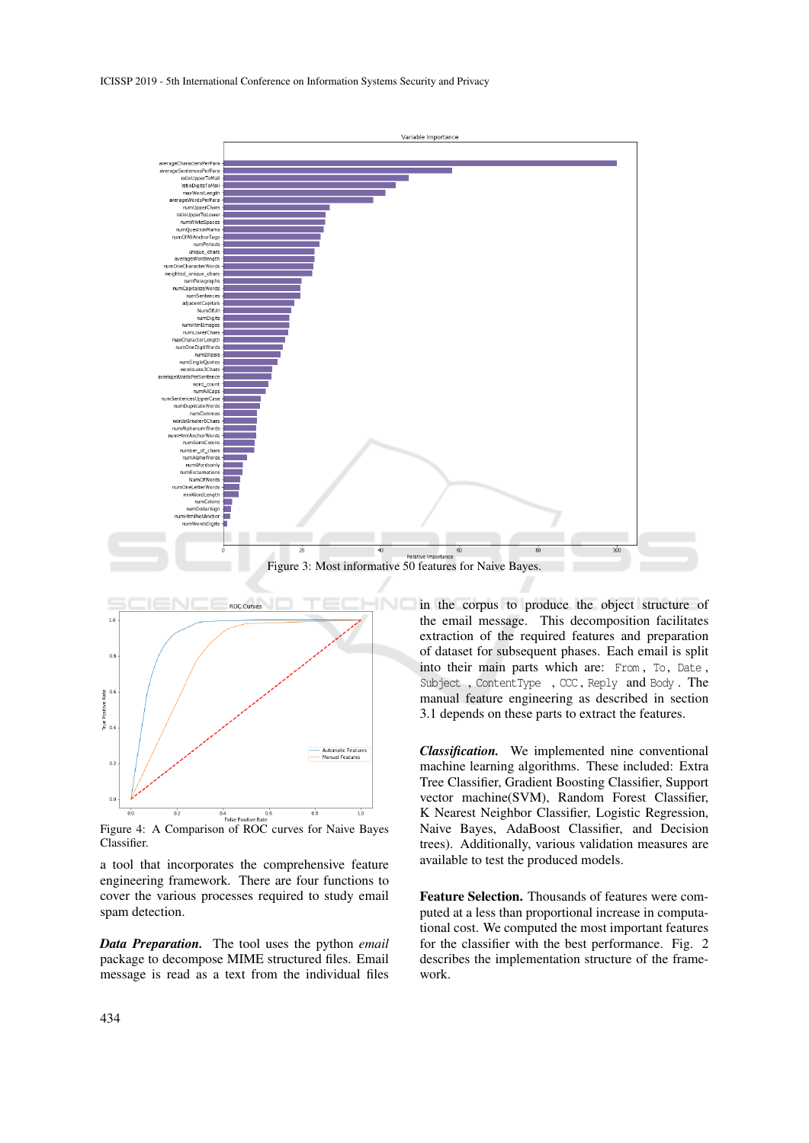ICISSP 2019 - 5th International Conference on Information Systems Security and Privacy





Figure 4: A Comparison of ROC curves for Naive Bayes Classifier.

a tool that incorporates the comprehensive feature engineering framework. There are four functions to cover the various processes required to study email spam detection.

*Data Preparation.* The tool uses the python *email* package to decompose MIME structured files. Email message is read as a text from the individual files in the corpus to produce the object structure of the email message. This decomposition facilitates extraction of the required features and preparation of dataset for subsequent phases. Each email is split into their main parts which are: From, To, Date, Subject , ContentType , CCC , Reply and Body . The manual feature engineering as described in section 3.1 depends on these parts to extract the features.

*Classification.* We implemented nine conventional machine learning algorithms. These included: Extra Tree Classifier, Gradient Boosting Classifier, Support vector machine(SVM), Random Forest Classifier, K Nearest Neighbor Classifier, Logistic Regression, Naive Bayes, AdaBoost Classifier, and Decision trees). Additionally, various validation measures are available to test the produced models.

Feature Selection. Thousands of features were computed at a less than proportional increase in computational cost. We computed the most important features for the classifier with the best performance. Fig. 2 describes the implementation structure of the framework.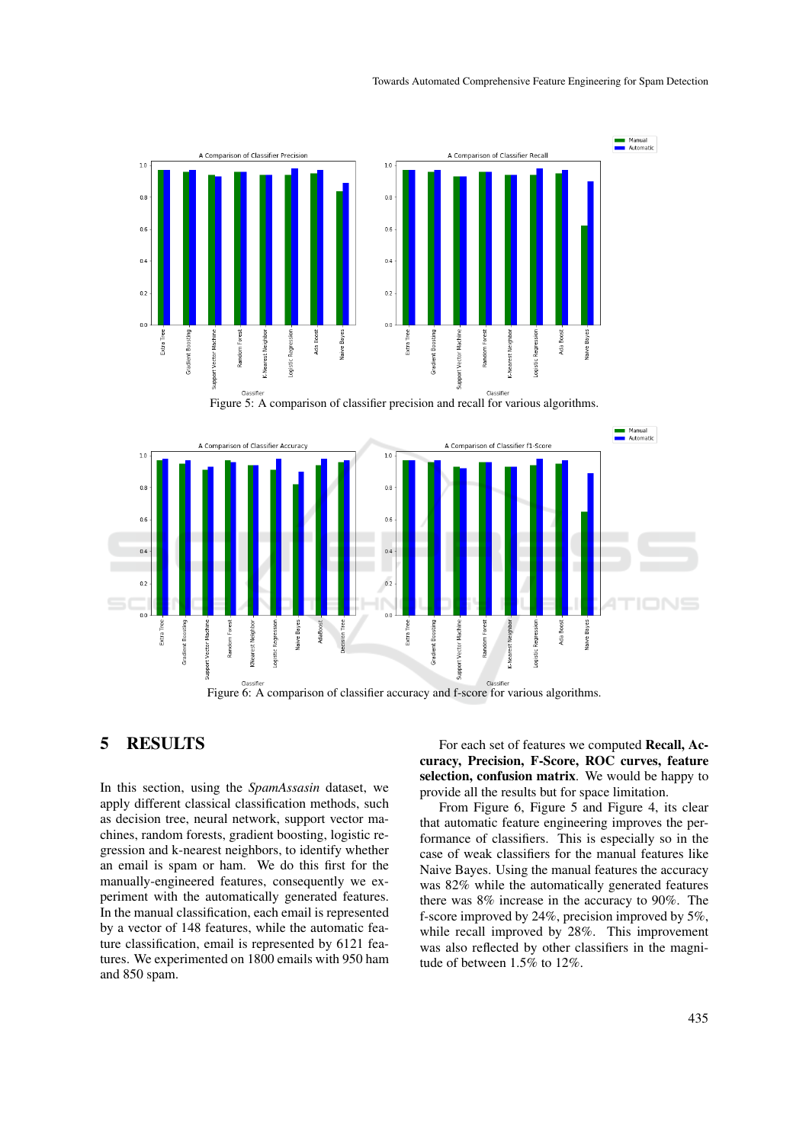

Figure 6: A comparison of classifier accuracy and f-score for various algorithms.

## 5 RESULTS

In this section, using the *SpamAssasin* dataset, we apply different classical classification methods, such as decision tree, neural network, support vector machines, random forests, gradient boosting, logistic regression and k-nearest neighbors, to identify whether an email is spam or ham. We do this first for the manually-engineered features, consequently we experiment with the automatically generated features. In the manual classification, each email is represented by a vector of 148 features, while the automatic feature classification, email is represented by 6121 features. We experimented on 1800 emails with 950 ham and 850 spam.

Classifie

For each set of features we computed Recall, Accuracy, Precision, F-Score, ROC curves, feature selection, confusion matrix. We would be happy to provide all the results but for space limitation.

Classifier

From Figure 6, Figure 5 and Figure 4, its clear that automatic feature engineering improves the performance of classifiers. This is especially so in the case of weak classifiers for the manual features like Naive Bayes. Using the manual features the accuracy was 82% while the automatically generated features there was 8% increase in the accuracy to 90%. The f-score improved by 24%, precision improved by 5%, while recall improved by 28%. This improvement was also reflected by other classifiers in the magnitude of between 1.5% to 12%.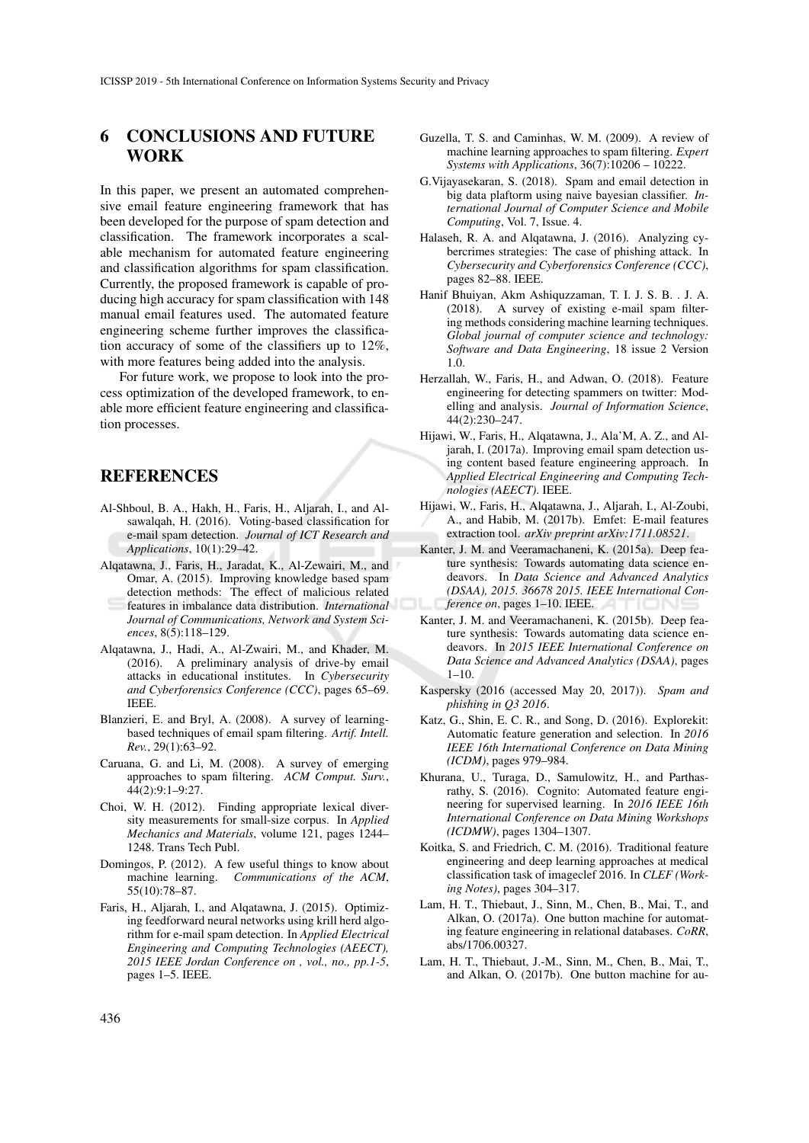## 6 CONCLUSIONS AND FUTURE **WORK**

In this paper, we present an automated comprehensive email feature engineering framework that has been developed for the purpose of spam detection and classification. The framework incorporates a scalable mechanism for automated feature engineering and classification algorithms for spam classification. Currently, the proposed framework is capable of producing high accuracy for spam classification with 148 manual email features used. The automated feature engineering scheme further improves the classification accuracy of some of the classifiers up to 12%, with more features being added into the analysis.

For future work, we propose to look into the process optimization of the developed framework, to enable more efficient feature engineering and classification processes.

### **REFERENCES**

- Al-Shboul, B. A., Hakh, H., Faris, H., Aljarah, I., and Alsawalqah, H. (2016). Voting-based classification for e-mail spam detection. *Journal of ICT Research and Applications*, 10(1):29–42.
- Alqatawna, J., Faris, H., Jaradat, K., Al-Zewairi, M., and Omar, A. (2015). Improving knowledge based spam detection methods: The effect of malicious related features in imbalance data distribution. *International Journal of Communications, Network and System Sciences*, 8(5):118–129.
- Alqatawna, J., Hadi, A., Al-Zwairi, M., and Khader, M. (2016). A preliminary analysis of drive-by email attacks in educational institutes. In *Cybersecurity and Cyberforensics Conference (CCC)*, pages 65–69. IEEE.
- Blanzieri, E. and Bryl, A. (2008). A survey of learningbased techniques of email spam filtering. *Artif. Intell. Rev.*, 29(1):63–92.
- Caruana, G. and Li, M. (2008). A survey of emerging approaches to spam filtering. *ACM Comput. Surv.*, 44(2):9:1–9:27.
- Choi, W. H. (2012). Finding appropriate lexical diversity measurements for small-size corpus. In *Applied Mechanics and Materials*, volume 121, pages 1244– 1248. Trans Tech Publ.
- Domingos, P. (2012). A few useful things to know about machine learning. *Communications of the ACM*, 55(10):78–87.
- Faris, H., Aljarah, I., and Alqatawna, J. (2015). Optimizing feedforward neural networks using krill herd algorithm for e-mail spam detection. In *Applied Electrical Engineering and Computing Technologies (AEECT), 2015 IEEE Jordan Conference on , vol., no., pp.1-5*, pages 1–5. IEEE.
- Guzella, T. S. and Caminhas, W. M. (2009). A review of machine learning approaches to spam filtering. *Expert Systems with Applications*, 36(7):10206 – 10222.
- G.Vijayasekaran, S. (2018). Spam and email detection in big data plaftorm using naive bayesian classifier. *International Journal of Computer Science and Mobile Computing*, Vol. 7, Issue. 4.
- Halaseh, R. A. and Alqatawna, J. (2016). Analyzing cybercrimes strategies: The case of phishing attack. In *Cybersecurity and Cyberforensics Conference (CCC)*, pages 82–88. IEEE.
- Hanif Bhuiyan, Akm Ashiquzzaman, T. I. J. S. B. . J. A. (2018). A survey of existing e-mail spam filtering methods considering machine learning techniques. *Global journal of computer science and technology: Software and Data Engineering*, 18 issue 2 Version 1.0.
- Herzallah, W., Faris, H., and Adwan, O. (2018). Feature engineering for detecting spammers on twitter: Modelling and analysis. *Journal of Information Science*, 44(2):230–247.
- Hijawi, W., Faris, H., Alqatawna, J., Ala'M, A. Z., and Aljarah, I. (2017a). Improving email spam detection using content based feature engineering approach. In *Applied Electrical Engineering and Computing Technologies (AEECT)*. IEEE.
- Hijawi, W., Faris, H., Alqatawna, J., Aljarah, I., Al-Zoubi, A., and Habib, M. (2017b). Emfet: E-mail features extraction tool. *arXiv preprint arXiv:1711.08521*.
- Kanter, J. M. and Veeramachaneni, K. (2015a). Deep feature synthesis: Towards automating data science endeavors. In *Data Science and Advanced Analytics (DSAA), 2015. 36678 2015. IEEE International Conference on*, pages 1–10. IEEE.
- Kanter, J. M. and Veeramachaneni, K. (2015b). Deep feature synthesis: Towards automating data science endeavors. In *2015 IEEE International Conference on Data Science and Advanced Analytics (DSAA)*, pages  $1 - 10$ .
- Kaspersky (2016 (accessed May 20, 2017)). *Spam and phishing in Q3 2016*.
- Katz, G., Shin, E. C. R., and Song, D. (2016). Explorekit: Automatic feature generation and selection. In *2016 IEEE 16th International Conference on Data Mining (ICDM)*, pages 979–984.
- Khurana, U., Turaga, D., Samulowitz, H., and Parthasrathy, S. (2016). Cognito: Automated feature engineering for supervised learning. In *2016 IEEE 16th International Conference on Data Mining Workshops (ICDMW)*, pages 1304–1307.
- Koitka, S. and Friedrich, C. M. (2016). Traditional feature engineering and deep learning approaches at medical classification task of imageclef 2016. In *CLEF (Working Notes)*, pages 304–317.
- Lam, H. T., Thiebaut, J., Sinn, M., Chen, B., Mai, T., and Alkan, O. (2017a). One button machine for automating feature engineering in relational databases. *CoRR*, abs/1706.00327.
- Lam, H. T., Thiebaut, J.-M., Sinn, M., Chen, B., Mai, T., and Alkan, O. (2017b). One button machine for au-